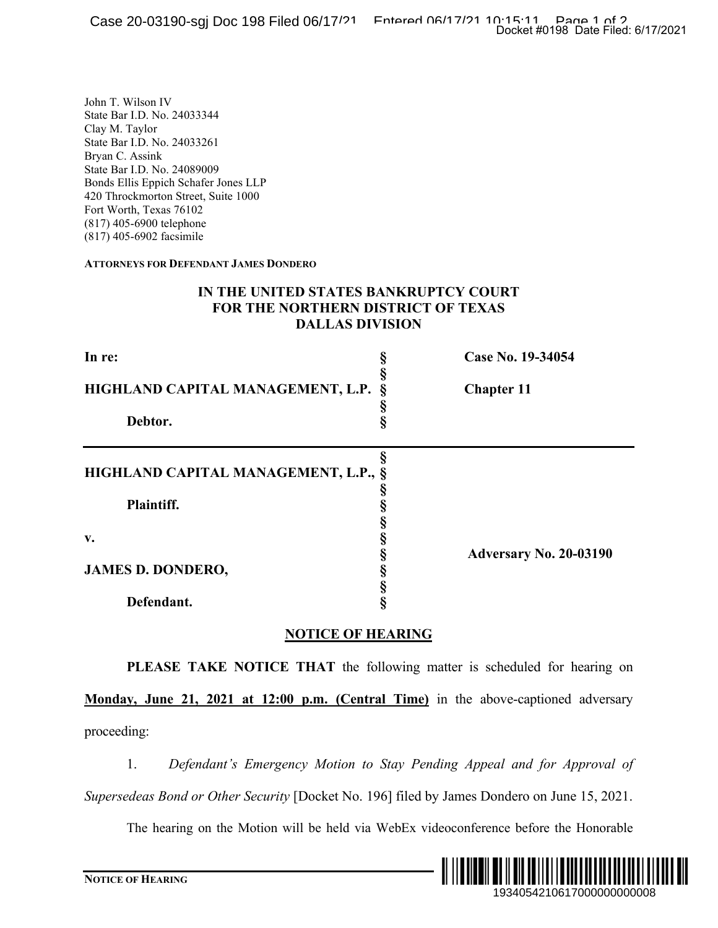#### **IN THE UNITED STATES BANKRUPTCY COURT FOR THE NORTHERN DISTRICT OF TEXAS DALLAS DIVISION**

|                                                                                                                                                                                                                                                                                                                                                                       | Docket #0198 Date Filed: 6/17/2021                                                    |
|-----------------------------------------------------------------------------------------------------------------------------------------------------------------------------------------------------------------------------------------------------------------------------------------------------------------------------------------------------------------------|---------------------------------------------------------------------------------------|
| John T. Wilson IV<br>State Bar I.D. No. 24033344<br>Clay M. Taylor<br>State Bar I.D. No. 24033261<br>Bryan C. Assink<br>State Bar I.D. No. 24089009<br>Bonds Ellis Eppich Schafer Jones LLP<br>420 Throckmorton Street, Suite 1000<br>Fort Worth, Texas 76102<br>(817) 405-6900 telephone<br>(817) 405-6902 facsimile<br><b>ATTORNEYS FOR DEFENDANT JAMES DONDERO</b> |                                                                                       |
| IN THE UNITED STATES BANKRUPTCY COURT<br>FOR THE NORTHERN DISTRICT OF TEXAS<br><b>DALLAS DIVISION</b>                                                                                                                                                                                                                                                                 |                                                                                       |
| In re:                                                                                                                                                                                                                                                                                                                                                                | Case No. 19-34054<br>Š                                                                |
| HIGHLAND CAPITAL MANAGEMENT, L.P.                                                                                                                                                                                                                                                                                                                                     | ş<br><b>Chapter 11</b>                                                                |
| Debtor.                                                                                                                                                                                                                                                                                                                                                               | §<br>ş                                                                                |
| HIGHLAND CAPITAL MANAGEMENT, L.P.,<br>Plaintiff.<br>v.<br><b>JAMES D. DONDERO,</b><br>Defendant.                                                                                                                                                                                                                                                                      | ş<br>Ş<br>§<br>§<br>§<br>§<br>Adversary No. 20-03190<br>SS 50 00 00                   |
| <b>NOTICE OF HEARING</b>                                                                                                                                                                                                                                                                                                                                              |                                                                                       |
|                                                                                                                                                                                                                                                                                                                                                                       | PLEASE TAKE NOTICE THAT the following matter is scheduled for hearing on              |
| Monday, June 21, 2021 at 12:00 p.m. (Central Time) in the above-captioned adversary                                                                                                                                                                                                                                                                                   |                                                                                       |
| proceeding:                                                                                                                                                                                                                                                                                                                                                           |                                                                                       |
| 1.                                                                                                                                                                                                                                                                                                                                                                    | Defendant's Emergency Motion to Stay Pending Appeal and for Approval of               |
| Supersedeas Bond or Other Security [Docket No. 196] filed by James Dondero on June 15, 2021.                                                                                                                                                                                                                                                                          |                                                                                       |
|                                                                                                                                                                                                                                                                                                                                                                       | The hearing on the Motion will be held via WebEx videoconference before the Honorable |
| <b>NOTICE OF HEARING</b>                                                                                                                                                                                                                                                                                                                                              | 1934054210617000000000008                                                             |

### **NOTICE OF HEARING**

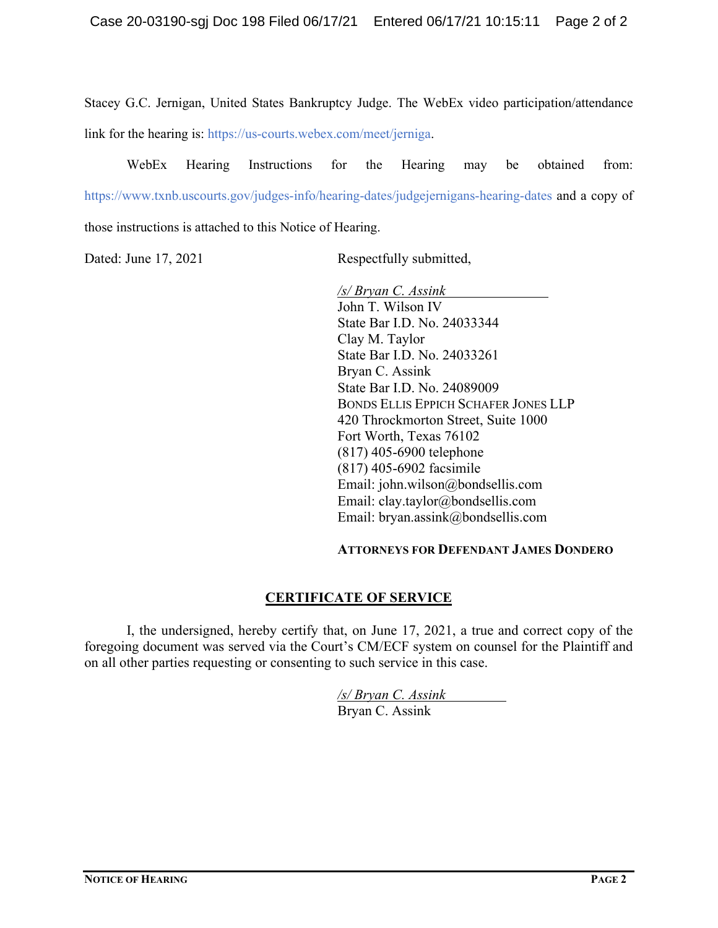Stacey G.C. Jernigan, United States Bankruptcy Judge. The WebEx video participation/attendance link for the hearing is: https://us-courts.webex.com/meet/jerniga.

WebEx Hearing Instructions for the Hearing may be obtained from: https://www.txnb.uscourts.gov/judges-info/hearing-dates/judgejernigans-hearing-dates and a copy of those instructions is attached to this Notice of Hearing.

Dated: June 17, 2021 Respectfully submitted,

*/s/ Bryan C. Assink* John T. Wilson IV State Bar I.D. No. 24033344 Clay M. Taylor State Bar I.D. No. 24033261 Bryan C. Assink State Bar I.D. No. 24089009 BONDS ELLIS EPPICH SCHAFER JONES LLP 420 Throckmorton Street, Suite 1000 Fort Worth, Texas 76102 (817) 405-6900 telephone (817) 405-6902 facsimile Email: john.wilson@bondsellis.com Email: clay.taylor@bondsellis.com Email: bryan.assink@bondsellis.com

#### **ATTORNEYS FOR DEFENDANT JAMES DONDERO**

## **CERTIFICATE OF SERVICE**

I, the undersigned, hereby certify that, on June 17, 2021, a true and correct copy of the foregoing document was served via the Court's CM/ECF system on counsel for the Plaintiff and on all other parties requesting or consenting to such service in this case.

> */s/ Bryan C. Assink* Bryan C. Assink